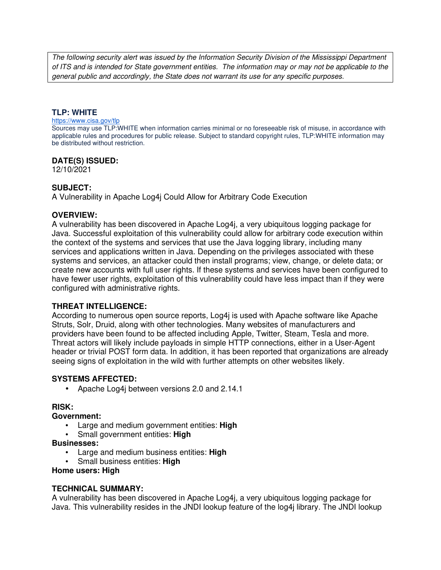The following security alert was issued by the Information Security Division of the Mississippi Department of ITS and is intended for State government entities. The information may or may not be applicable to the general public and accordingly, the State does not warrant its use for any specific purposes.

### **TLP: WHITE**

#### https://www.cisa.gov/tlp

Sources may use TLP:WHITE when information carries minimal or no foreseeable risk of misuse, in accordance with applicable rules and procedures for public release. Subject to standard copyright rules, TLP:WHITE information may be distributed without restriction.

### **DATE(S) ISSUED:**

12/10/2021

# **SUBJECT:**

A Vulnerability in Apache Log4j Could Allow for Arbitrary Code Execution

### **OVERVIEW:**

A vulnerability has been discovered in Apache Log4j, a very ubiquitous logging package for Java. Successful exploitation of this vulnerability could allow for arbitrary code execution within the context of the systems and services that use the Java logging library, including many services and applications written in Java. Depending on the privileges associated with these systems and services, an attacker could then install programs; view, change, or delete data; or create new accounts with full user rights. If these systems and services have been configured to have fewer user rights, exploitation of this vulnerability could have less impact than if they were configured with administrative rights.

# **THREAT INTELLIGENCE:**

According to numerous open source reports, Log4j is used with Apache software like Apache Struts, Solr, Druid, along with other technologies. Many websites of manufacturers and providers have been found to be affected including Apple, Twitter, Steam, Tesla and more. Threat actors will likely include payloads in simple HTTP connections, either in a User-Agent header or trivial POST form data. In addition, it has been reported that organizations are already seeing signs of exploitation in the wild with further attempts on other websites likely.

### **SYSTEMS AFFECTED:**

• Apache Log4j between versions 2.0 and 2.14.1

### **RISK:**

### **Government:**

- Large and medium government entities: **High**
- Small government entities: **High**

### **Businesses:**

- Large and medium business entities: **High**
- Small business entities: **High**

### **Home users: High**

### **TECHNICAL SUMMARY:**

A vulnerability has been discovered in Apache Log4j, a very ubiquitous logging package for Java. This vulnerability resides in the JNDI lookup feature of the log4j library. The JNDI lookup